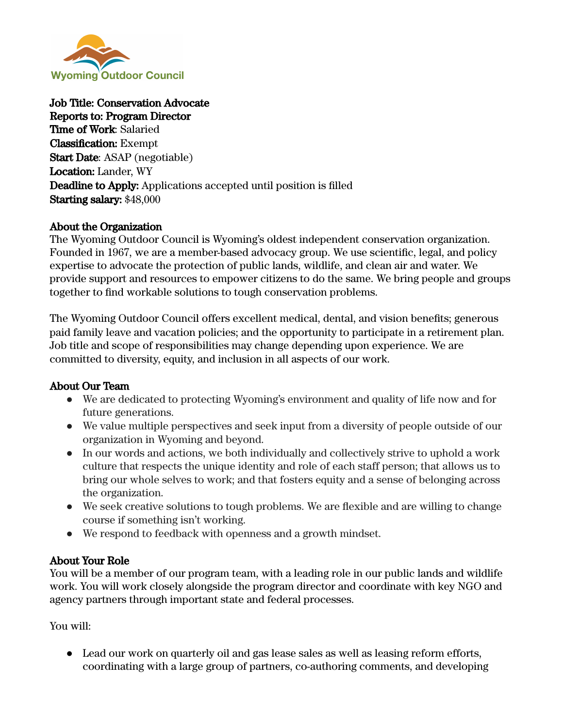

Job Title: Conservation Advocate Reports to: Program Director Time of Work: Salaried Classification: Exempt Start Date: ASAP (negotiable) Location: Lander, WY Deadline to Apply: Applications accepted until position is filled Starting salary: \$48,000

### About the Organization

The Wyoming Outdoor Council is Wyoming's oldest independent conservation organization. Founded in 1967, we are a member-based advocacy group. We use scientific, legal, and policy expertise to advocate the protection of public lands, wildlife, and clean air and water. We provide support and resources to empower citizens to do the same. We bring people and groups together to find workable solutions to tough conservation problems.

The Wyoming Outdoor Council offers excellent medical, dental, and vision benefits; generous paid family leave and vacation policies; and the opportunity to participate in a retirement plan. Job title and scope of responsibilities may change depending upon experience. We are committed to diversity, equity, and inclusion in all aspects of our work.

### About Our Team

- We are dedicated to protecting Wyoming's environment and quality of life now and for future generations.
- We value multiple perspectives and seek input from a diversity of people outside of our organization in Wyoming and beyond.
- In our words and actions, we both individually and collectively strive to uphold a work culture that respects the unique identity and role of each staff person; that allows us to bring our whole selves to work; and that fosters equity and a sense of belonging across the organization.
- We seek creative solutions to tough problems. We are flexible and are willing to change course if something isn't working.
- We respond to feedback with openness and a growth mindset.

### About Your Role

You will be a member of our program team, with a leading role in our public lands and wildlife work. You will work closely alongside the program director and coordinate with key NGO and agency partners through important state and federal processes.

You will:

• Lead our work on quarterly oil and gas lease sales as well as leasing reform efforts, coordinating with a large group of partners, co-authoring comments, and developing